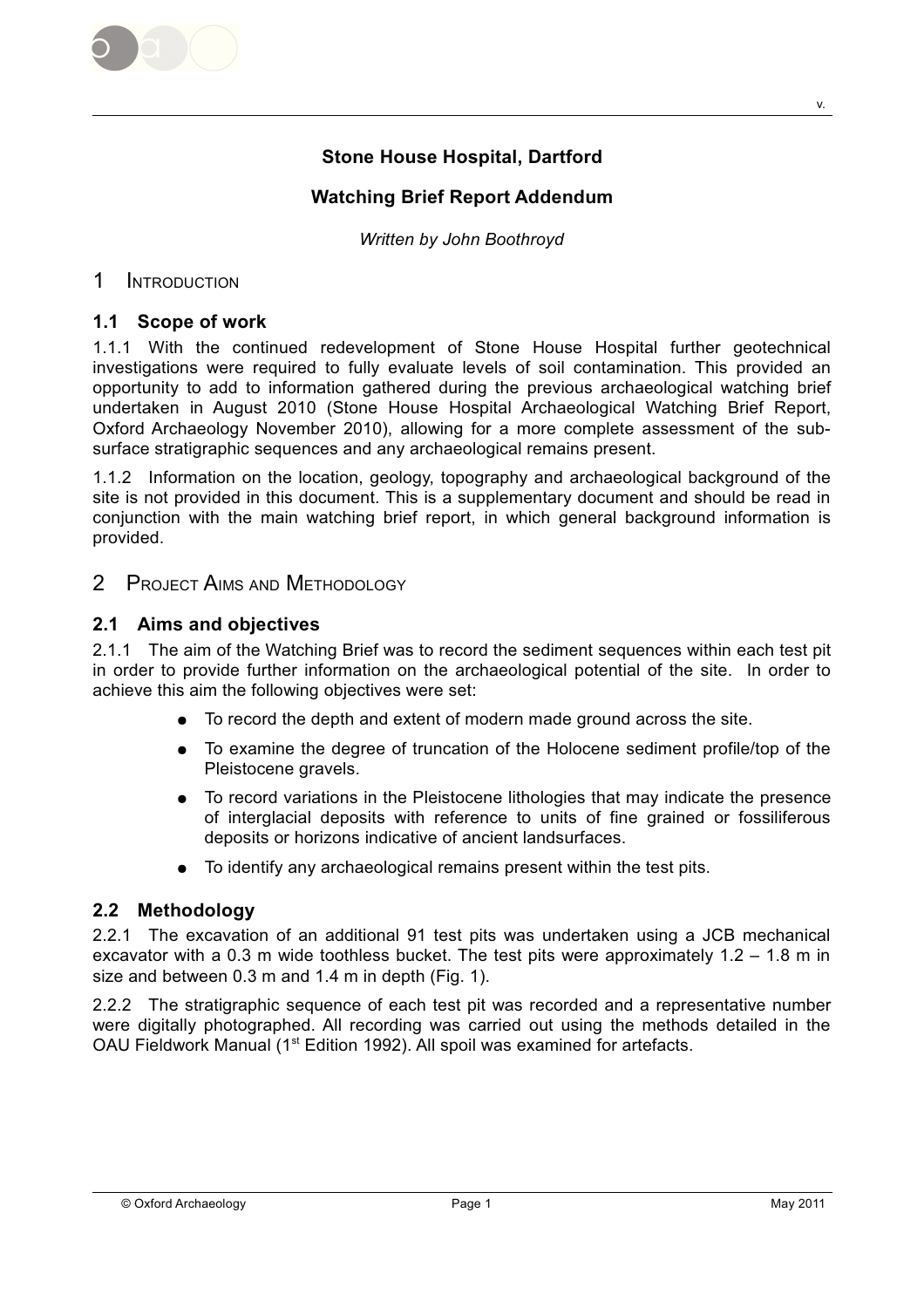

# **Stone House Hospital, Dartford**

# **Watching Brief Report Addendum**

Written by John Boothroyd

#### $\mathbf 1$ **INTRODUCTION**

#### 1.1 Scope of work

1.1.1 With the continued redevelopment of Stone House Hospital further geotechnical investigations were required to fully evaluate levels of soil contamination. This provided an opportunity to add to information gathered during the previous archaeological watching brief undertaken in August 2010 (Stone House Hospital Archaeological Watching Brief Report, Oxford Archaeology November 2010), allowing for a more complete assessment of the subsurface stratigraphic sequences and any archaeological remains present.

1.1.2 Information on the location, geology, topography and archaeological background of the site is not provided in this document. This is a supplementary document and should be read in conjunction with the main watching brief report, in which general background information is provided

#### $\overline{2}$ **PROJECT AIMS AND METHODOLOGY**

### 2.1 Aims and objectives

2.1.1 The aim of the Watching Brief was to record the sediment sequences within each test pit in order to provide further information on the archaeological potential of the site. In order to achieve this aim the following objectives were set:

- To record the depth and extent of modern made ground across the site.  $\bullet$
- To examine the degree of truncation of the Holocene sediment profile/top of the Pleistocene gravels.
- To record variations in the Pleistocene lithologies that may indicate the presence  $\bullet$ of interglacial deposits with reference to units of fine grained or fossiliferous deposits or horizons indicative of ancient landsurfaces.
- To identify any archaeological remains present within the test pits.

# 2.2 Methodology

2.2.1 The excavation of an additional 91 test pits was undertaken using a JCB mechanical excavator with a 0.3 m wide toothless bucket. The test pits were approximately  $1.2 - 1.8$  m in size and between 0.3 m and 1.4 m in depth (Fig. 1).

2.2.2 The stratigraphic sequence of each test pit was recorded and a representative number were digitally photographed. All recording was carried out using the methods detailed in the OAU Fieldwork Manual (1<sup>st</sup> Edition 1992). All spoil was examined for artefacts.

v.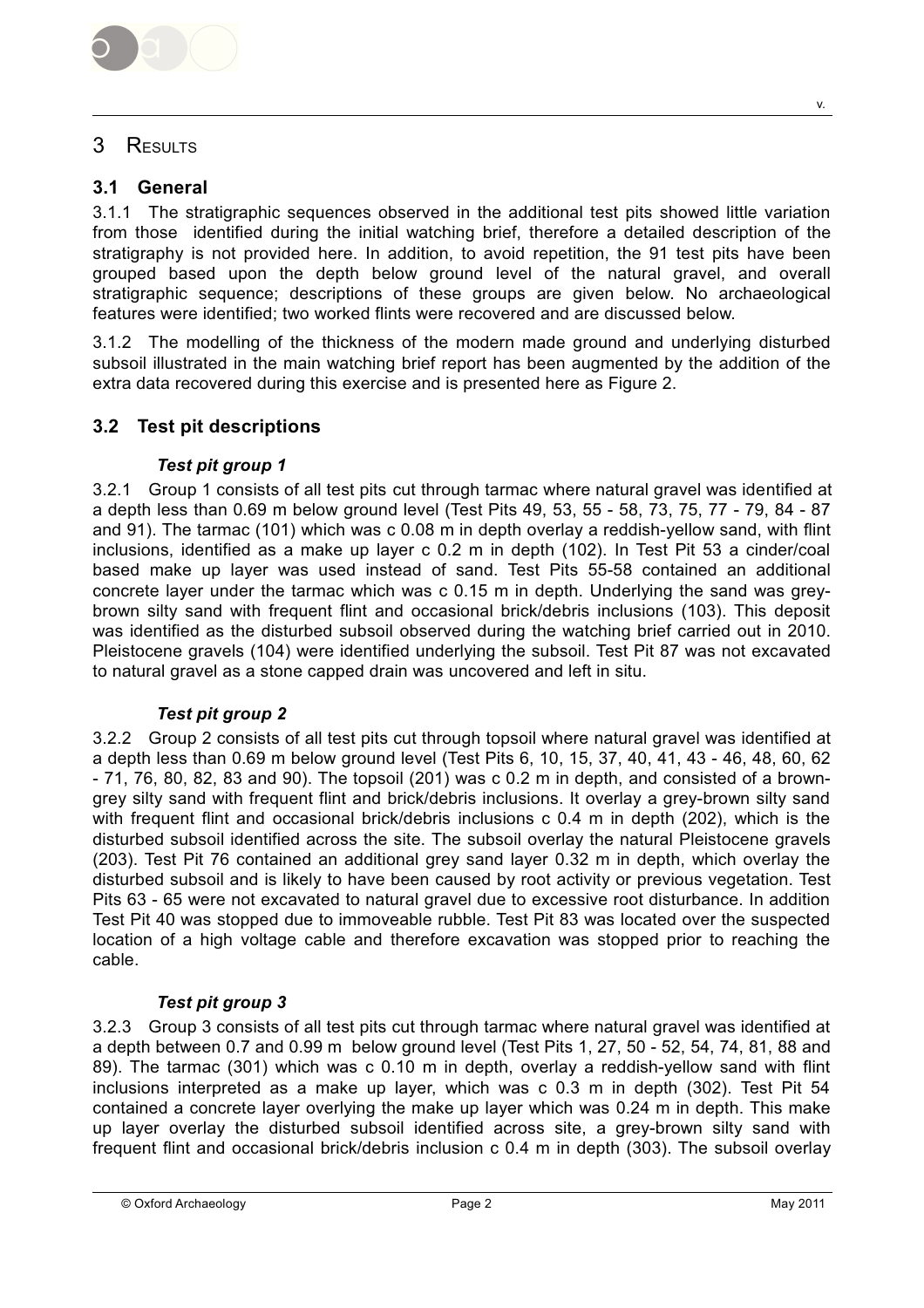

#### 3 RESULTS

#### $3.1$ General

3.1.1 The stratigraphic sequences observed in the additional test pits showed little variation from those identified during the initial watching brief, therefore a detailed description of the stratigraphy is not provided here. In addition, to avoid repetition, the 91 test pits have been grouped based upon the depth below ground level of the natural gravel, and overall stratigraphic sequence; descriptions of these groups are given below. No archaeological features were identified: two worked flints were recovered and are discussed below.

3.1.2 The modelling of the thickness of the modern made ground and underlying disturbed subsoil illustrated in the main watching brief report has been augmented by the addition of the extra data recovered during this exercise and is presented here as Figure 2.

#### $3.2$ **Test pit descriptions**

### Test pit group 1

3.2.1 Group 1 consists of all test pits cut through tarmac where natural gravel was identified at a depth less than 0.69 m below ground level (Test Pits 49, 53, 55 - 58, 73, 75, 77 - 79, 84 - 87 and 91). The tarmac (101) which was c 0.08 m in depth overlay a reddish-yellow sand, with flint inclusions, identified as a make up layer c 0.2 m in depth (102). In Test Pit 53 a cinder/coal based make up layer was used instead of sand. Test Pits 55-58 contained an additional concrete layer under the tarmac which was c 0.15 m in depth. Underlying the sand was greybrown silty sand with frequent flint and occasional brick/debris inclusions (103). This deposit was identified as the disturbed subsoil observed during the watching brief carried out in 2010. Pleistocene gravels (104) were identified underlying the subsoil. Test Pit 87 was not excavated to natural gravel as a stone capped drain was uncovered and left in situ.

#### **Test pit group 2**

3.2.2 Group 2 consists of all test pits cut through topsoil where natural gravel was identified at a depth less than 0.69 m below ground level (Test Pits 6, 10, 15, 37, 40, 41, 43 - 46, 48, 60, 62 -71, 76, 80, 82, 83 and 90). The topsoil (201) was c 0.2 m in depth, and consisted of a browngrey silty sand with frequent flint and brick/debris inclusions. It overlay a grey-brown silty sand with frequent flint and occasional brick/debris inclusions c 0.4 m in depth (202), which is the disturbed subsoil identified across the site. The subsoil overlay the natural Pleistocene gravels (203). Test Pit 76 contained an additional grey sand layer 0.32 m in depth, which overlay the disturbed subsoil and is likely to have been caused by root activity or previous vegetation. Test Pits 63 - 65 were not excavated to natural gravel due to excessive root disturbance. In addition Test Pit 40 was stopped due to immoveable rubble. Test Pit 83 was located over the suspected location of a high voltage cable and therefore excavation was stopped prior to reaching the cable.

#### Test pit group 3

3.2.3 Group 3 consists of all test pits cut through tarmac where natural gravel was identified at a depth between 0.7 and 0.99 m below ground level (Test Pits 1, 27, 50 - 52, 54, 74, 81, 88 and 89). The tarmac (301) which was c 0.10 m in depth, overlay a reddish-yellow sand with flint inclusions interpreted as a make up layer, which was c 0.3 m in depth (302). Test Pit 54 contained a concrete layer overlying the make up layer which was 0.24 m in depth. This make up layer overlay the disturbed subsoil identified across site, a grey-brown silty sand with frequent flint and occasional brick/debris inclusion c 0.4 m in depth (303). The subsoil overlay

v.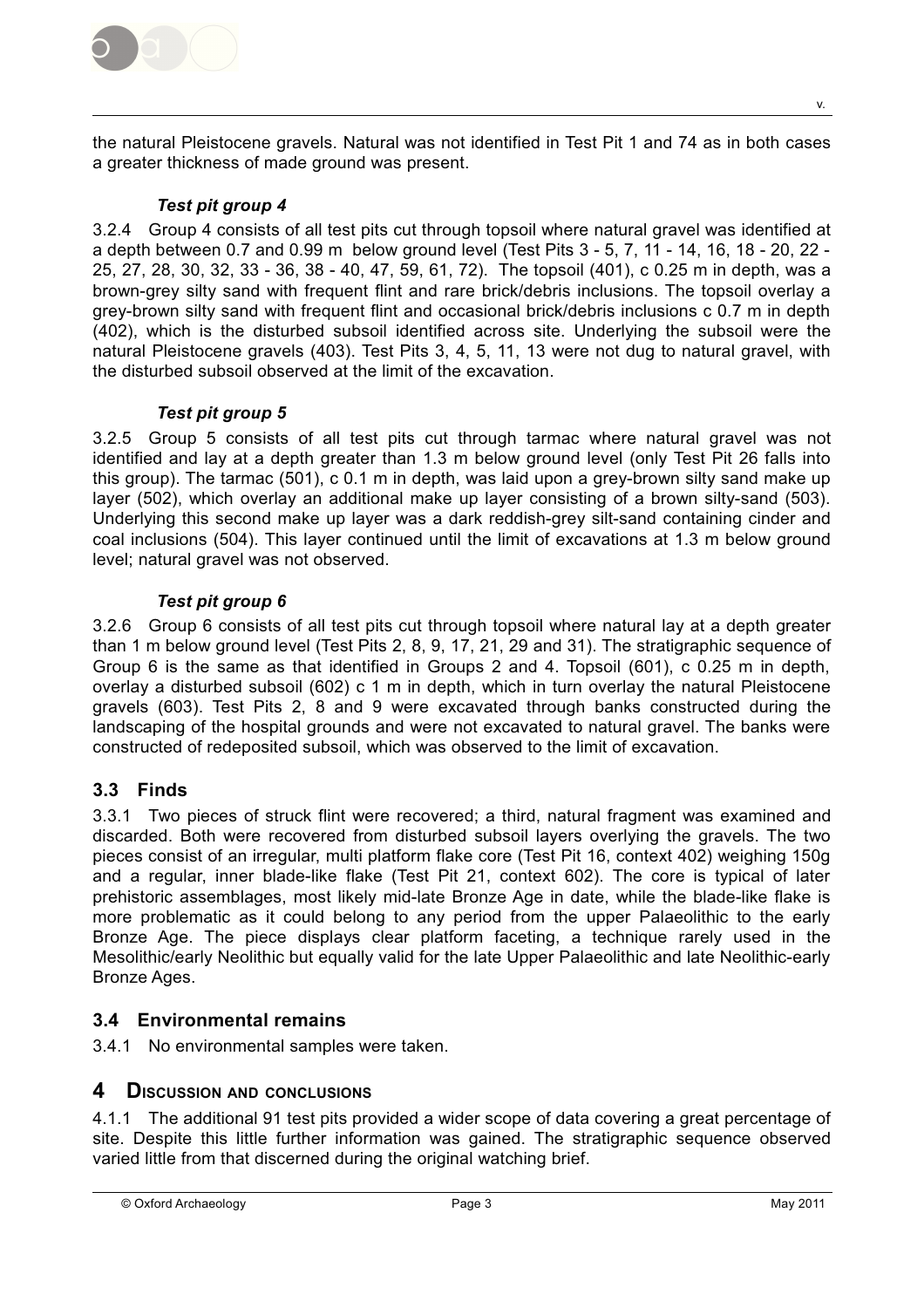

the natural Pleistocene gravels. Natural was not identified in Test Pit 1 and 74 as in both cases a greater thickness of made ground was present.

### Test pit group 4

3.2.4 Group 4 consists of all test pits cut through topsoil where natural gravel was identified at a depth between 0.7 and 0.99 m below ground level (Test Pits 3 - 5, 7, 11 - 14, 16, 18 - 20, 22 -25, 27, 28, 30, 32, 33 - 36, 38 - 40, 47, 59, 61, 72). The topsoil (401), c 0.25 m in depth, was a brown-grey silty sand with frequent flint and rare brick/debris inclusions. The topsoil overlay a grey-brown silty sand with frequent flint and occasional brick/debris inclusions c 0.7 m in depth (402), which is the disturbed subsoil identified across site. Underlying the subsoil were the natural Pleistocene gravels (403). Test Pits 3, 4, 5, 11, 13 were not dug to natural gravel, with the disturbed subsoil observed at the limit of the excavation

### Test pit group 5

3.2.5 Group 5 consists of all test pits cut through tarmac where natural gravel was not identified and lay at a depth greater than 1.3 m below ground level (only Test Pit 26 falls into this group). The tarmac (501), c 0.1 m in depth, was laid upon a grey-brown silty sand make up layer (502), which overlay an additional make up layer consisting of a brown silty-sand (503). Underlying this second make up layer was a dark reddish-grey silt-sand containing cinder and coal inclusions (504). This layer continued until the limit of excavations at 1.3 m below ground level; natural gravel was not observed.

### Test pit group 6

3.2.6 Group 6 consists of all test pits cut through topsoil where natural lay at a depth greater than 1 m below ground level (Test Pits 2, 8, 9, 17, 21, 29 and 31). The stratigraphic sequence of Group 6 is the same as that identified in Groups 2 and 4. Topsoil (601), c 0.25 m in depth, overlay a disturbed subsoil (602) c 1 m in depth, which in turn overlay the natural Pleistocene gravels (603). Test Pits 2, 8 and 9 were excavated through banks constructed during the landscaping of the hospital grounds and were not excavated to natural gravel. The banks were constructed of redeposited subsoil, which was observed to the limit of excavation.

# 3.3 Finds

3.3.1 Two pieces of struck flint were recovered; a third, natural fragment was examined and discarded. Both were recovered from disturbed subsoil layers overlying the gravels. The two pieces consist of an irregular, multi platform flake core (Test Pit 16, context 402) weighing 150g and a regular, inner blade-like flake (Test Pit 21, context 602). The core is typical of later prehistoric assemblages, most likely mid-late Bronze Age in date, while the blade-like flake is more problematic as it could belong to any period from the upper Palaeolithic to the early Bronze Age. The piece displays clear platform faceting, a technique rarely used in the Mesolithic/early Neolithic but equally valid for the late Upper Palaeolithic and late Neolithic-early Bronze Ages.

# 3.4 Environmental remains

3.4.1 No environmental samples were taken.

# 4 DISCUSSION AND CONCLUSIONS

4.1.1 The additional 91 test pits provided a wider scope of data covering a great percentage of site. Despite this little further information was gained. The stratigraphic sequence observed varied little from that discerned during the original watching brief.

V.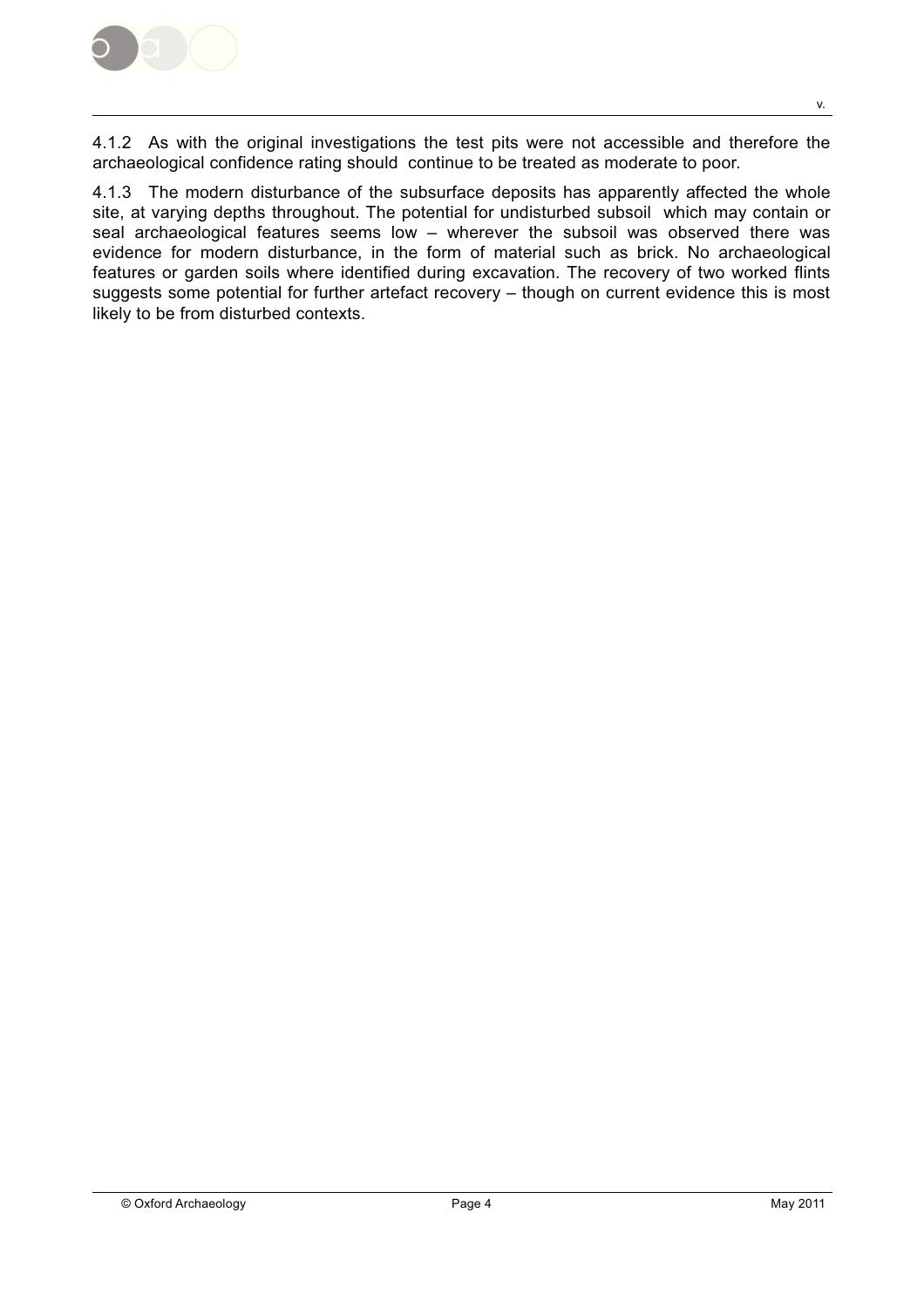

4.1.2 As with the original investigations the test pits were not accessible and therefore the archaeological confidence rating should continue to be treated as moderate to poor.

4.1.3 The modern disturbance of the subsurface deposits has apparently affected the whole site, at varying depths throughout. The potential for undisturbed subsoil which may contain or seal archaeological features seems low - wherever the subsoil was observed there was evidence for modern disturbance, in the form of material such as brick. No archaeological features or garden soils where identified during excavation. The recovery of two worked flints suggests some potential for further artefact recovery - though on current evidence this is most likely to be from disturbed contexts.

V.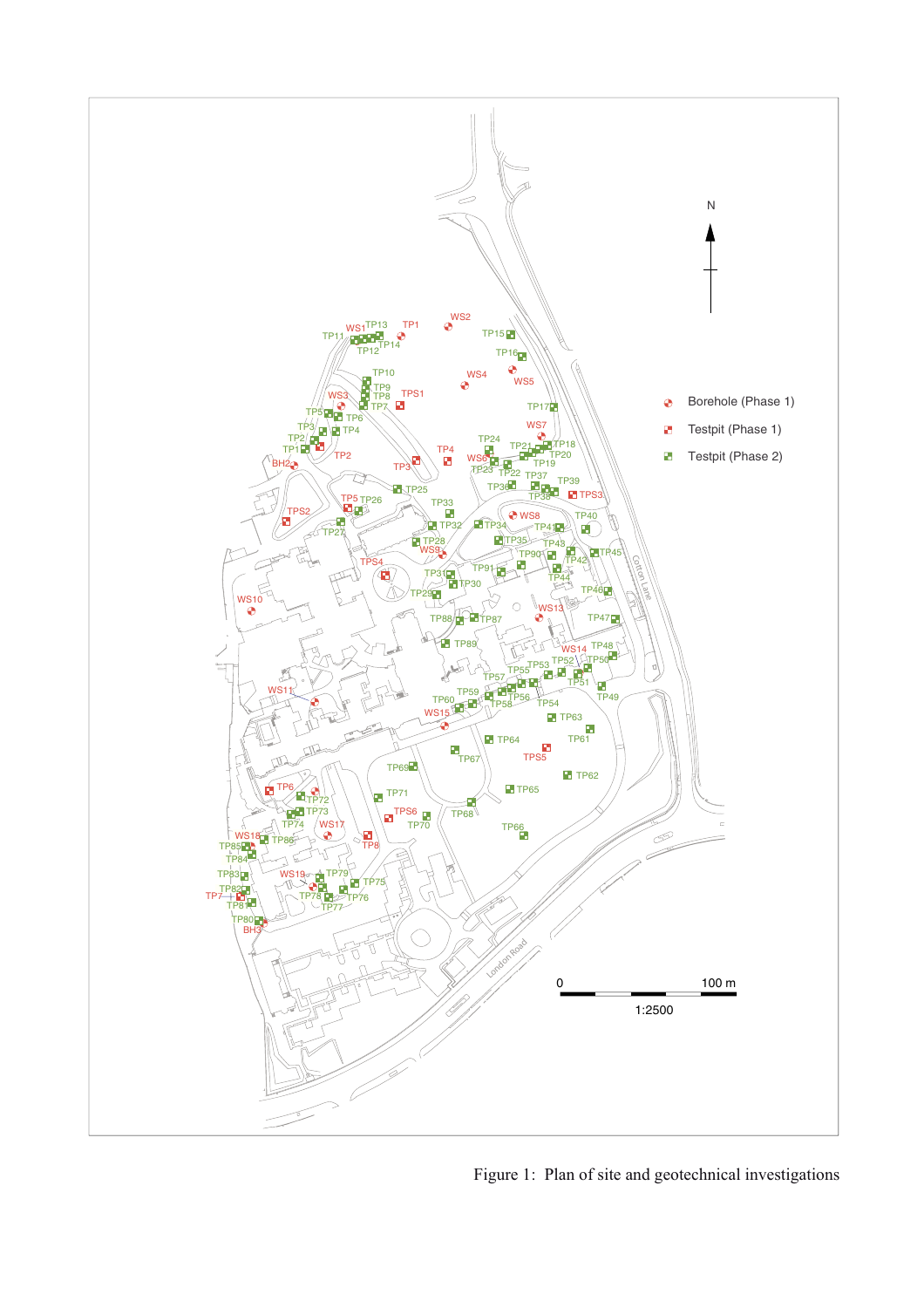

Figure 1: Plan of site and geotechnical investigations